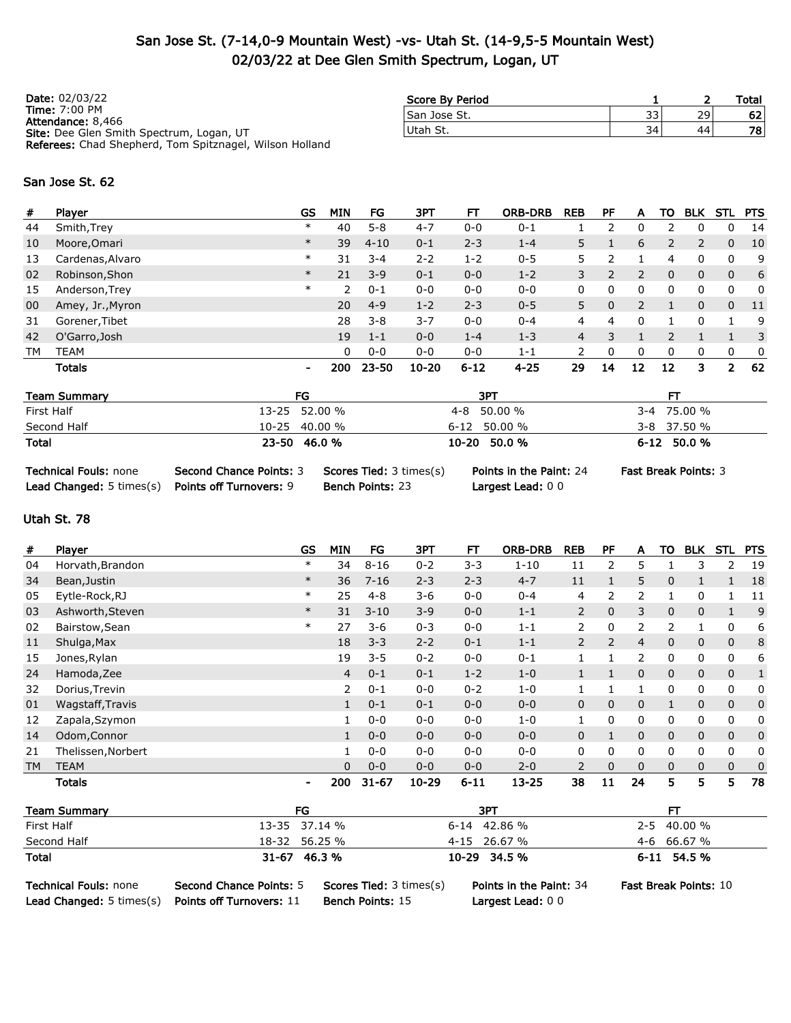## San Jose St. (7-14,0-9 Mountain West) -vs- Utah St. (14-9,5-5 Mountain West) 02/03/22 at Dee Glen Smith Spectrum, Logan, UT

| <b>Date: 02/03/22</b>                                          | Score By Period |    |    | Total |
|----------------------------------------------------------------|-----------------|----|----|-------|
| <b>Time: 7:00 PM</b><br>Attendance: 8,466                      | San Jose St.    | 33 | 29 | 621   |
| <b>Site:</b> Dee Glen Smith Spectrum, Logan, UT                | Utah St.        | 34 | 44 | 78    |
| <b>Referees:</b> Chad Shepherd, Tom Spitznagel, Wilson Holland |                 |    |    |       |

#### San Jose St. 62

|                  |        |     | FG       | 3PT       | FТ       | <b>ORB-DRB</b> | <b>REB</b> | РF            | A  | ΤО           | <b>BLK</b>   | STL          | <b>PTS</b> |
|------------------|--------|-----|----------|-----------|----------|----------------|------------|---------------|----|--------------|--------------|--------------|------------|
| Smith, Trey      | $\ast$ | 40  | $5 - 8$  | $4 - 7$   | $0 - 0$  | $0 - 1$        |            | っ             | 0  |              | 0            | 0            | 14         |
| Moore, Omari     | $\ast$ | 39  | $4 - 10$ | $0 - 1$   | $2 - 3$  | $1 - 4$        | 5          |               | 6  | 2            | 2            | $\mathbf{0}$ | 10         |
| Cardenas, Alvaro | $\ast$ | 31  | $3 - 4$  | $2 - 2$   | $1 - 2$  | $0 - 5$        | 5          |               |    | 4            | 0            | $\mathbf{0}$ | 9          |
| Robinson, Shon   | $\ast$ | 21  | $3 - 9$  | $0 - 1$   | $0 - 0$  | $1 - 2$        | 3          | $\mathcal{P}$ | 2  | $\mathbf{0}$ | $\mathbf{0}$ | $\mathbf{0}$ | 6          |
| Anderson, Trey   | $\ast$ | 2   | $0 - 1$  | $0 - 0$   | $0 - 0$  | $0 - 0$        | 0          | 0             | 0  | 0            | 0            | 0            | 0          |
| Amey, Jr., Myron |        | 20  | $4 - 9$  | $1 - 2$   | $2 - 3$  | $0 - 5$        | 5          | $\Omega$      | 2  |              | $\mathbf{0}$ | $\mathbf{0}$ | -11        |
| Gorener, Tibet   |        | 28  | $3 - 8$  | $3 - 7$   | $0 - 0$  | $0 - 4$        | 4          | 4             | 0  |              | 0            |              | 9          |
| O'Garro, Josh    |        | 19  | $1 - 1$  | $0 - 0$   | $1 - 4$  | $1 - 3$        | 4          | 3             |    |              |              |              | 3          |
| <b>TEAM</b>      |        | 0   | $0 - 0$  | $0 - 0$   | $0 - 0$  | $1 - 1$        | 2          | 0             | 0  | 0            | 0            | $\mathbf{0}$ | 0          |
| <b>Totals</b>    | $\sim$ | 200 |          | $10 - 20$ | $6 - 12$ | $4 - 25$       | 29         | 14            | 12 | 12           | 3            | 2            | 62         |
|                  |        |     |          | 23-50     |          |                |            |               |    |              |              |              |            |

| <b>Team Summary</b> | FG            | 3PT              | FТ              |
|---------------------|---------------|------------------|-----------------|
| First Half          | 13-25 52.00 % | 4-8 50.00 %      | 3-4 75.00 %     |
| Second Half         | 10-25 40.00 % | $6 - 12$ 50.00 % | $3 - 8$ 37.50 % |
| Total               | 23-50 46.0 %  | 10-20 50.0 %     | 6-12 50.0 %     |

```
Technical Fouls: none Second Chance Points: 3 Scores Tied: 3 times(s) Points in the Paint: 24 Fast Break Points: 3
```
Lead Changed: 5 times(s) Points off Turnovers: 9 Bench Points: 23 Largest Lead: 0 0

### Utah St. 78

| #         | Player             | <b>GS</b>      | <b>MIN</b>     | FG        | 3PT       | FТ       | <b>ORB-DRB</b> | <b>REB</b>     | PF             | A            | то           | <b>BLK</b>   | STL          | <b>PTS</b>   |
|-----------|--------------------|----------------|----------------|-----------|-----------|----------|----------------|----------------|----------------|--------------|--------------|--------------|--------------|--------------|
| 04        | Horvath, Brandon   | $\ast$         | 34             | $8 - 16$  | $0 - 2$   | $3 - 3$  | $1 - 10$       | 11             | 2              | 5            |              | 3            | 2            | 19           |
| 34        | Bean, Justin       | $\ast$         | 36             | $7 - 16$  | $2 - 3$   | $2 - 3$  | $4 - 7$        | 11             |                | 5            | $\mathbf{0}$ |              |              | 18           |
| 05        | Eytle-Rock, RJ     | $\ast$         | 25             | $4 - 8$   | $3 - 6$   | $0 - 0$  | $0 - 4$        | 4              | 2              | 2            |              | 0            |              | 11           |
| 03        | Ashworth, Steven   | $\ast$         | 31             | $3 - 10$  | $3 - 9$   | $0 - 0$  | $1 - 1$        | $\overline{2}$ | 0              | 3            | $\mathbf{0}$ | 0            |              | 9            |
| 02        | Bairstow, Sean     | $\ast$         | 27             | $3 - 6$   | $0 - 3$   | $0 - 0$  | $1 - 1$        | $\overline{2}$ | 0              | 2            | 2            | 1            | 0            | 6            |
| 11        | Shulga, Max        |                | 18             | $3 - 3$   | $2 - 2$   | $0 - 1$  | $1 - 1$        | $\overline{2}$ | $\overline{2}$ | 4            | $\mathbf{0}$ | 0            | $\mathbf{0}$ | 8            |
| 15        | Jones, Rylan       |                | 19             | $3 - 5$   | $0 - 2$   | $0 - 0$  | $0 - 1$        |                |                | 2            | 0            | 0            | 0            | 6            |
| 24        | Hamoda, Zee        |                | $\overline{4}$ | $0 - 1$   | $0 - 1$   | $1 - 2$  | $1 - 0$        | $\mathbf{1}$   |                | $\mathbf{0}$ | $\mathbf{0}$ | $\mathbf{0}$ | $\mathbf{0}$ | $\mathbf{1}$ |
| 32        | Dorius, Trevin     |                | 2              | $0 - 1$   | $0 - 0$   | $0 - 2$  | $1 - 0$        |                |                |              | 0            | 0            | 0            | 0            |
| 01        | Wagstaff, Travis   |                | 1              | $0 - 1$   | $0 - 1$   | $0 - 0$  | $0 - 0$        | 0              | 0              | $\mathbf 0$  |              | $\mathbf 0$  | $\mathbf{0}$ | $\mathbf{0}$ |
| 12        | Zapala, Szymon     |                | $\mathbf{1}$   | $0 - 0$   | $0 - 0$   | $0 - 0$  | $1 - 0$        | $\mathbf{1}$   | $\Omega$       | 0            | 0            | 0            | 0            | 0            |
| 14        | Odom, Connor       |                |                | $0 - 0$   | $0 - 0$   | $0 - 0$  | $0 - 0$        | 0              |                | 0            | $\mathbf{0}$ | 0            | 0            | $\mathbf 0$  |
| 21        | Thelissen, Norbert |                | 1              | $0 - 0$   | $0 - 0$   | $0 - 0$  | $0 - 0$        | 0              | 0              | 0            | 0            | 0            | 0            | 0            |
| <b>TM</b> | <b>TEAM</b>        |                | $\Omega$       | $0 - 0$   | $0 - 0$   | $0 - 0$  | $2 - 0$        | $\overline{2}$ | 0              | $\mathbf{0}$ | $\mathbf{0}$ | $\mathbf{0}$ | $\mathbf{0}$ | 0            |
|           | <b>Totals</b>      | $\blacksquare$ | 200            | $31 - 67$ | $10 - 29$ | $6 - 11$ | $13 - 25$      | 38             | 11             | 24           | 5            | 5            | 5            | 78           |

| <b>Team Summary</b> | FG            | 3PT              |             |
|---------------------|---------------|------------------|-------------|
| First Half          | 13-35 37.14 % | $6 - 14$ 42.86 % | 2-5 40.00 % |
| Second Half         | 18-32 56.25 % | 4-15 26.67 %     | 4-6 66.67 % |
| Total               | 31-67 46.3 %  | 10-29 34.5 %     | 6-11 54.5 % |

Lead Changed: 5 times(s) Points off Turnovers: 11 Bench Points: 15 Largest Lead: 0 0

Technical Fouls: none Second Chance Points: 5 Scores Tied: 3 times(s) Points in the Paint: 34 Fast Break Points: 10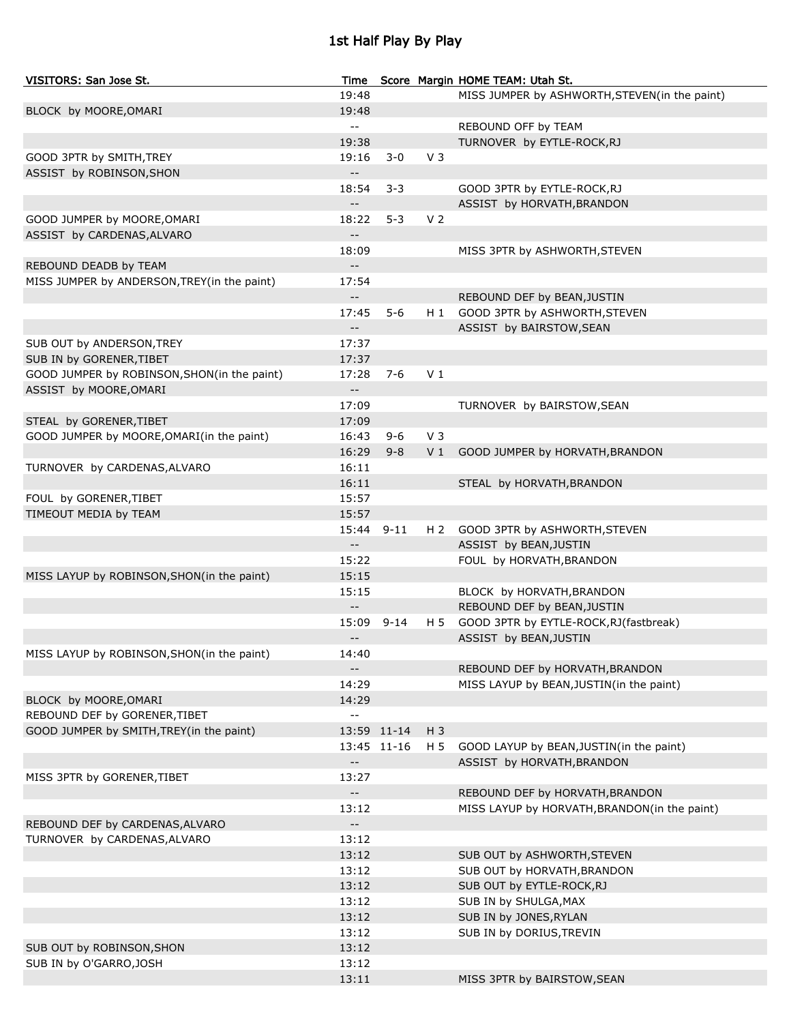# 1st Half Play By Play

| VISITORS: San Jose St.                      |                                               |             |                | Time Score Margin HOME TEAM: Utah St.         |
|---------------------------------------------|-----------------------------------------------|-------------|----------------|-----------------------------------------------|
|                                             | 19:48                                         |             |                | MISS JUMPER by ASHWORTH, STEVEN(in the paint) |
| BLOCK by MOORE, OMARI                       | 19:48                                         |             |                |                                               |
|                                             | $\mathord{\hspace{1pt}\text{--}\hspace{1pt}}$ |             |                | REBOUND OFF by TEAM                           |
|                                             | 19:38                                         |             |                | TURNOVER by EYTLE-ROCK, RJ                    |
| GOOD 3PTR by SMITH, TREY                    | 19:16                                         | $3 - 0$     | V <sub>3</sub> |                                               |
| ASSIST by ROBINSON, SHON                    | $\overline{\phantom{a}}$                      |             |                |                                               |
|                                             | 18:54                                         | $3 - 3$     |                | GOOD 3PTR by EYTLE-ROCK, RJ                   |
|                                             | $\overline{\phantom{a}}$ .                    |             |                | ASSIST by HORVATH, BRANDON                    |
| GOOD JUMPER by MOORE, OMARI                 | 18:22                                         | $5 - 3$     | V <sub>2</sub> |                                               |
| ASSIST by CARDENAS, ALVARO                  | $\overline{\phantom{a}}$ .                    |             |                |                                               |
|                                             | 18:09                                         |             |                |                                               |
|                                             |                                               |             |                | MISS 3PTR by ASHWORTH, STEVEN                 |
| REBOUND DEADB by TEAM                       | $\overline{\phantom{a}}$                      |             |                |                                               |
| MISS JUMPER by ANDERSON, TREY(in the paint) | 17:54                                         |             |                |                                               |
|                                             | $\overline{\phantom{a}}$                      |             |                | REBOUND DEF by BEAN, JUSTIN                   |
|                                             | 17:45                                         | $5 - 6$     |                | H 1 GOOD 3PTR by ASHWORTH, STEVEN             |
|                                             | $\overline{\phantom{a}}$ .                    |             |                | ASSIST by BAIRSTOW, SEAN                      |
| SUB OUT by ANDERSON, TREY                   | 17:37                                         |             |                |                                               |
| SUB IN by GORENER, TIBET                    | 17:37                                         |             |                |                                               |
| GOOD JUMPER by ROBINSON, SHON(in the paint) | 17:28                                         | $7-6$       | V <sub>1</sub> |                                               |
| ASSIST by MOORE, OMARI                      | $\overline{\phantom{a}}$                      |             |                |                                               |
|                                             | 17:09                                         |             |                | TURNOVER by BAIRSTOW, SEAN                    |
| STEAL by GORENER, TIBET                     | 17:09                                         |             |                |                                               |
| GOOD JUMPER by MOORE, OMARI (in the paint)  | 16:43                                         | $9 - 6$     | V <sub>3</sub> |                                               |
|                                             | 16:29                                         | $9 - 8$     | V <sub>1</sub> | GOOD JUMPER by HORVATH, BRANDON               |
| TURNOVER by CARDENAS, ALVARO                | 16:11                                         |             |                |                                               |
|                                             | 16:11                                         |             |                | STEAL by HORVATH, BRANDON                     |
| FOUL by GORENER, TIBET                      | 15:57                                         |             |                |                                               |
|                                             | 15:57                                         |             |                |                                               |
| TIMEOUT MEDIA by TEAM                       |                                               |             |                |                                               |
|                                             | 15:44                                         | $9 - 11$    |                | H 2 GOOD 3PTR by ASHWORTH, STEVEN             |
|                                             | $\mathord{\hspace{1pt}\text{--}\hspace{1pt}}$ |             |                | ASSIST by BEAN, JUSTIN                        |
|                                             | 15:22                                         |             |                | FOUL by HORVATH, BRANDON                      |
| MISS LAYUP by ROBINSON, SHON(in the paint)  | 15:15                                         |             |                |                                               |
|                                             | 15:15                                         |             |                | BLOCK by HORVATH, BRANDON                     |
|                                             | $- \, -$                                      |             |                | REBOUND DEF by BEAN, JUSTIN                   |
|                                             |                                               | 15:09 9-14  | H 5            | GOOD 3PTR by EYTLE-ROCK, RJ (fastbreak)       |
|                                             | $\overline{\phantom{a}}$                      |             |                | ASSIST by BEAN, JUSTIN                        |
| MISS LAYUP by ROBINSON, SHON(in the paint)  | 14:40                                         |             |                |                                               |
|                                             | $- -$                                         |             |                | REBOUND DEF by HORVATH, BRANDON               |
|                                             | 14:29                                         |             |                | MISS LAYUP by BEAN, JUSTIN(in the paint)      |
| BLOCK by MOORE, OMARI                       | 14:29                                         |             |                |                                               |
| REBOUND DEF by GORENER, TIBET               | $\mathord{\hspace{1pt}\text{--}\hspace{1pt}}$ |             |                |                                               |
| GOOD JUMPER by SMITH, TREY(in the paint)    |                                               | 13:59 11-14 | $H_3$          |                                               |
|                                             |                                               | 13:45 11-16 | H 5            | GOOD LAYUP by BEAN, JUSTIN(in the paint)      |
|                                             | $\mathord{\hspace{1pt}\text{--}\hspace{1pt}}$ |             |                | ASSIST by HORVATH, BRANDON                    |
| MISS 3PTR by GORENER, TIBET                 | 13:27                                         |             |                |                                               |
|                                             | $- -$                                         |             |                | REBOUND DEF by HORVATH, BRANDON               |
|                                             | 13:12                                         |             |                | MISS LAYUP by HORVATH, BRANDON(in the paint)  |
|                                             |                                               |             |                |                                               |
| REBOUND DEF by CARDENAS, ALVARO             | $- -$                                         |             |                |                                               |
| TURNOVER by CARDENAS, ALVARO                | 13:12                                         |             |                |                                               |
|                                             | 13:12                                         |             |                | SUB OUT by ASHWORTH, STEVEN                   |
|                                             | 13:12                                         |             |                | SUB OUT by HORVATH, BRANDON                   |
|                                             | 13:12                                         |             |                | SUB OUT by EYTLE-ROCK, RJ                     |
|                                             | 13:12                                         |             |                | SUB IN by SHULGA, MAX                         |
|                                             | 13:12                                         |             |                | SUB IN by JONES, RYLAN                        |
|                                             | 13:12                                         |             |                | SUB IN by DORIUS, TREVIN                      |
| SUB OUT by ROBINSON, SHON                   | 13:12                                         |             |                |                                               |
| SUB IN by O'GARRO, JOSH                     | 13:12                                         |             |                |                                               |
|                                             | 13:11                                         |             |                | MISS 3PTR by BAIRSTOW, SEAN                   |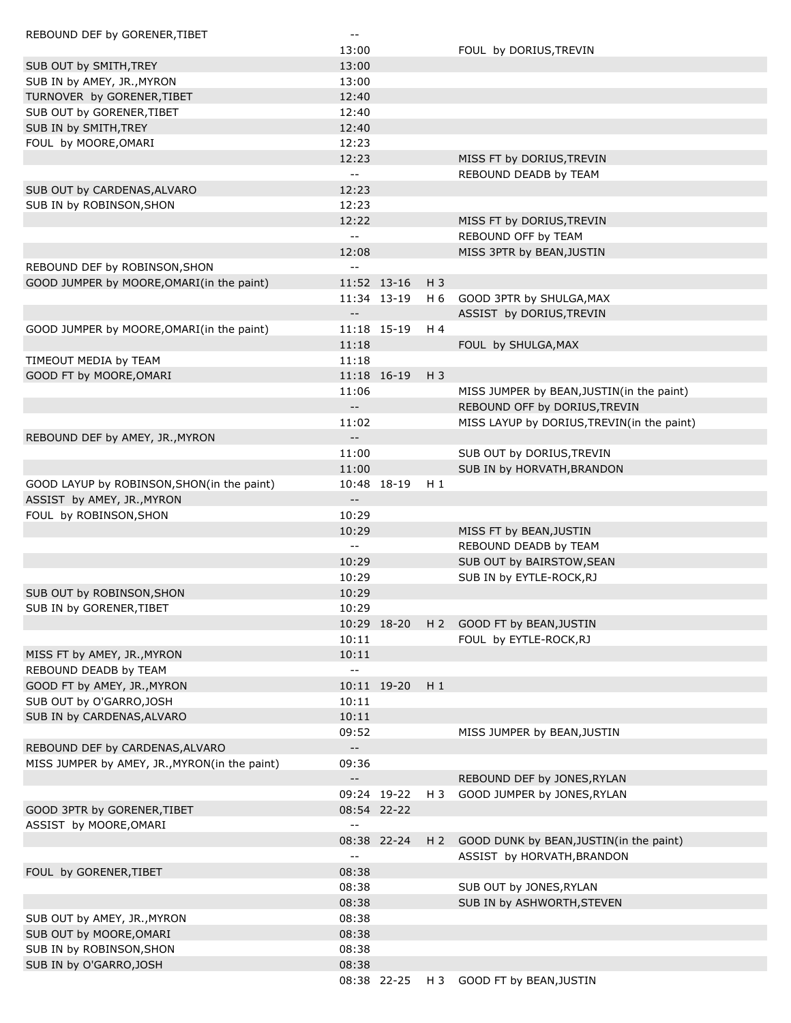| REBOUND DEF by GORENER, TIBET                        | $- -$                                         |             |       |                                                       |
|------------------------------------------------------|-----------------------------------------------|-------------|-------|-------------------------------------------------------|
|                                                      | 13:00                                         |             |       | FOUL by DORIUS, TREVIN                                |
| SUB OUT by SMITH, TREY                               | 13:00                                         |             |       |                                                       |
| SUB IN by AMEY, JR., MYRON                           | 13:00                                         |             |       |                                                       |
| TURNOVER by GORENER, TIBET                           | 12:40                                         |             |       |                                                       |
| SUB OUT by GORENER, TIBET                            | 12:40                                         |             |       |                                                       |
| SUB IN by SMITH, TREY                                | 12:40                                         |             |       |                                                       |
| FOUL by MOORE, OMARI                                 | 12:23                                         |             |       |                                                       |
|                                                      | 12:23                                         |             |       | MISS FT by DORIUS, TREVIN                             |
|                                                      | $\mathord{\hspace{1pt}\text{--}\hspace{1pt}}$ |             |       | REBOUND DEADB by TEAM                                 |
| SUB OUT by CARDENAS, ALVARO                          | 12:23                                         |             |       |                                                       |
| SUB IN by ROBINSON, SHON                             | 12:23                                         |             |       |                                                       |
|                                                      | 12:22                                         |             |       | MISS FT by DORIUS, TREVIN                             |
|                                                      | $\overline{\phantom{a}}$                      |             |       | REBOUND OFF by TEAM                                   |
|                                                      | 12:08                                         |             |       | MISS 3PTR by BEAN, JUSTIN                             |
| REBOUND DEF by ROBINSON, SHON                        | $\sim$ $-$                                    |             |       |                                                       |
| GOOD JUMPER by MOORE, OMARI (in the paint)           |                                               | 11:52 13-16 | $H_3$ |                                                       |
|                                                      |                                               | 11:34 13-19 | H 6   | GOOD 3PTR by SHULGA, MAX                              |
|                                                      | $\mathord{\hspace{1pt}\text{--}\hspace{1pt}}$ |             |       | ASSIST by DORIUS, TREVIN                              |
| GOOD JUMPER by MOORE, OMARI (in the paint)           |                                               | 11:18 15-19 | H 4   |                                                       |
|                                                      | 11:18                                         |             |       | FOUL by SHULGA, MAX                                   |
| TIMEOUT MEDIA by TEAM                                | 11:18                                         |             |       |                                                       |
| GOOD FT by MOORE, OMARI                              |                                               | 11:18 16-19 | $H_3$ |                                                       |
|                                                      | 11:06                                         |             |       | MISS JUMPER by BEAN, JUSTIN(in the paint)             |
|                                                      |                                               |             |       | REBOUND OFF by DORIUS, TREVIN                         |
|                                                      | 11:02                                         |             |       | MISS LAYUP by DORIUS, TREVIN(in the paint)            |
| REBOUND DEF by AMEY, JR., MYRON                      | $-$                                           |             |       |                                                       |
|                                                      | 11:00                                         |             |       | SUB OUT by DORIUS, TREVIN                             |
|                                                      | 11:00                                         |             |       | SUB IN by HORVATH, BRANDON                            |
| GOOD LAYUP by ROBINSON, SHON(in the paint)           |                                               | 10:48 18-19 | $H_1$ |                                                       |
| ASSIST by AMEY, JR., MYRON                           | $\overline{\phantom{a}}$ .                    |             |       |                                                       |
| FOUL by ROBINSON, SHON                               | 10:29                                         |             |       |                                                       |
|                                                      | 10:29                                         |             |       | MISS FT by BEAN, JUSTIN                               |
|                                                      | $\mathord{\hspace{1pt}\text{--}\hspace{1pt}}$ |             |       | REBOUND DEADB by TEAM                                 |
|                                                      | 10:29                                         |             |       | SUB OUT by BAIRSTOW, SEAN                             |
|                                                      | 10:29                                         |             |       | SUB IN by EYTLE-ROCK, RJ                              |
| SUB OUT by ROBINSON, SHON                            | 10:29                                         |             |       |                                                       |
| SUB IN by GORENER, TIBET                             | 10:29                                         | 10:29 18-20 |       |                                                       |
|                                                      | 10:11                                         |             |       | H 2 GOOD FT by BEAN, JUSTIN<br>FOUL by EYTLE-ROCK, RJ |
|                                                      | 10:11                                         |             |       |                                                       |
| MISS FT by AMEY, JR., MYRON<br>REBOUND DEADB by TEAM | $\sim$ $-$                                    |             |       |                                                       |
| GOOD FT by AMEY, JR., MYRON                          |                                               | 10:11 19-20 | $H_1$ |                                                       |
| SUB OUT by O'GARRO, JOSH                             | 10:11                                         |             |       |                                                       |
| SUB IN by CARDENAS, ALVARO                           | 10:11                                         |             |       |                                                       |
|                                                      | 09:52                                         |             |       | MISS JUMPER by BEAN, JUSTIN                           |
| REBOUND DEF by CARDENAS, ALVARO                      | $\overline{\phantom{a}}$                      |             |       |                                                       |
| MISS JUMPER by AMEY, JR., MYRON(in the paint)        | 09:36                                         |             |       |                                                       |
|                                                      | $\overline{\phantom{a}}$                      |             |       | REBOUND DEF by JONES, RYLAN                           |
|                                                      |                                               | 09:24 19-22 | H 3   | GOOD JUMPER by JONES, RYLAN                           |
| GOOD 3PTR by GORENER, TIBET                          |                                               | 08:54 22-22 |       |                                                       |
| ASSIST by MOORE, OMARI                               | $\sim$ $-$                                    |             |       |                                                       |
|                                                      |                                               | 08:38 22-24 | $H_2$ | GOOD DUNK by BEAN, JUSTIN(in the paint)               |
|                                                      | $\mathord{\hspace{1pt}\text{--}\hspace{1pt}}$ |             |       | ASSIST by HORVATH, BRANDON                            |
| FOUL by GORENER, TIBET                               | 08:38                                         |             |       |                                                       |
|                                                      | 08:38                                         |             |       | SUB OUT by JONES, RYLAN                               |
|                                                      | 08:38                                         |             |       | SUB IN by ASHWORTH, STEVEN                            |
| SUB OUT by AMEY, JR., MYRON                          | 08:38                                         |             |       |                                                       |
| SUB OUT by MOORE, OMARI                              | 08:38                                         |             |       |                                                       |
| SUB IN by ROBINSON, SHON                             | 08:38                                         |             |       |                                                       |
| SUB IN by O'GARRO, JOSH                              | 08:38                                         |             |       |                                                       |
|                                                      |                                               | 08:38 22-25 | H 3   | GOOD FT by BEAN, JUSTIN                               |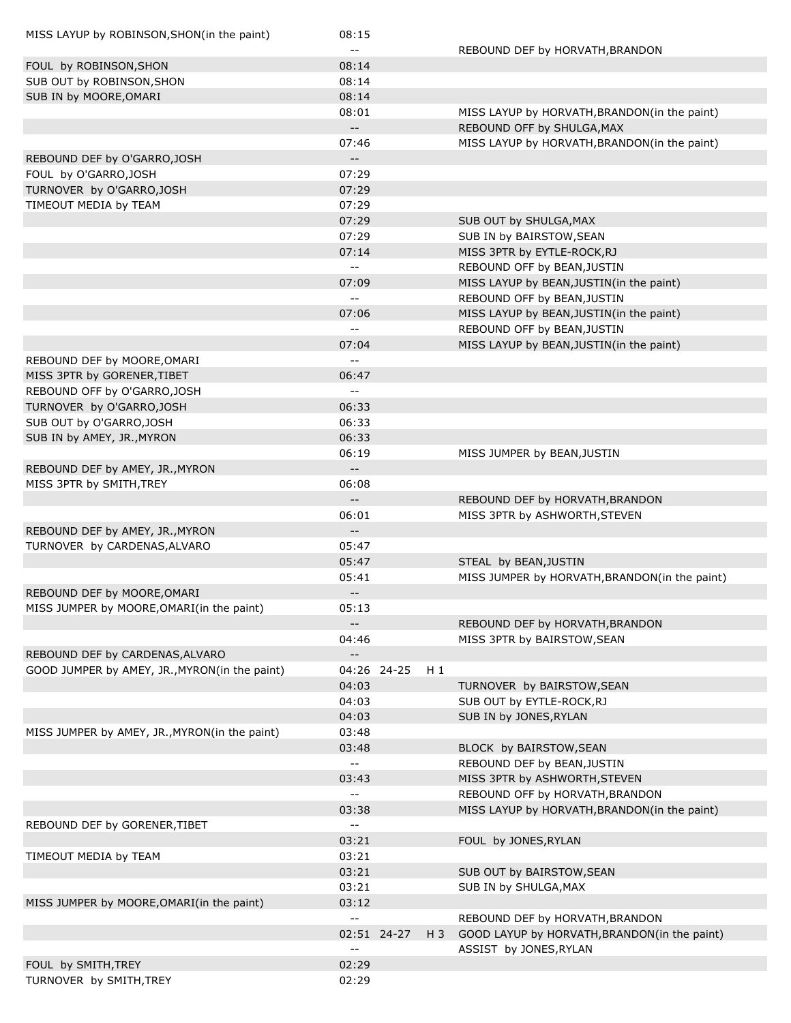| MISS LAYUP by ROBINSON, SHON(in the paint)    | 08:15                    |             |       |                                               |
|-----------------------------------------------|--------------------------|-------------|-------|-----------------------------------------------|
|                                               | $\overline{\phantom{a}}$ |             |       | REBOUND DEF by HORVATH, BRANDON               |
| FOUL by ROBINSON, SHON                        | 08:14                    |             |       |                                               |
| SUB OUT by ROBINSON, SHON                     | 08:14                    |             |       |                                               |
| SUB IN by MOORE, OMARI                        | 08:14                    |             |       |                                               |
|                                               | 08:01                    |             |       | MISS LAYUP by HORVATH, BRANDON(in the paint)  |
|                                               | $\overline{\phantom{a}}$ |             |       | REBOUND OFF by SHULGA, MAX                    |
|                                               | 07:46                    |             |       | MISS LAYUP by HORVATH, BRANDON(in the paint)  |
| REBOUND DEF by O'GARRO, JOSH                  | $-$                      |             |       |                                               |
| FOUL by O'GARRO, JOSH                         | 07:29                    |             |       |                                               |
| TURNOVER by O'GARRO, JOSH                     | 07:29                    |             |       |                                               |
| TIMEOUT MEDIA by TEAM                         | 07:29                    |             |       |                                               |
|                                               | 07:29                    |             |       | SUB OUT by SHULGA, MAX                        |
|                                               | 07:29                    |             |       | SUB IN by BAIRSTOW, SEAN                      |
|                                               | 07:14                    |             |       | MISS 3PTR by EYTLE-ROCK, RJ                   |
|                                               | $\overline{\phantom{a}}$ |             |       | REBOUND OFF by BEAN, JUSTIN                   |
|                                               | 07:09                    |             |       | MISS LAYUP by BEAN, JUSTIN(in the paint)      |
|                                               | $\overline{a}$           |             |       | REBOUND OFF by BEAN, JUSTIN                   |
|                                               | 07:06                    |             |       | MISS LAYUP by BEAN, JUSTIN(in the paint)      |
|                                               | $\overline{a}$           |             |       | REBOUND OFF by BEAN, JUSTIN                   |
|                                               | 07:04                    |             |       | MISS LAYUP by BEAN, JUSTIN(in the paint)      |
|                                               | $\overline{\phantom{a}}$ |             |       |                                               |
| REBOUND DEF by MOORE, OMARI                   |                          |             |       |                                               |
| MISS 3PTR by GORENER, TIBET                   | 06:47                    |             |       |                                               |
| REBOUND OFF by O'GARRO, JOSH                  | $\overline{\phantom{a}}$ |             |       |                                               |
| TURNOVER by O'GARRO, JOSH                     | 06:33                    |             |       |                                               |
| SUB OUT by O'GARRO, JOSH                      | 06:33                    |             |       |                                               |
| SUB IN by AMEY, JR., MYRON                    | 06:33                    |             |       |                                               |
|                                               | 06:19                    |             |       | MISS JUMPER by BEAN, JUSTIN                   |
| REBOUND DEF by AMEY, JR., MYRON               | $\overline{\phantom{a}}$ |             |       |                                               |
| MISS 3PTR by SMITH, TREY                      | 06:08                    |             |       |                                               |
|                                               | $-$                      |             |       | REBOUND DEF by HORVATH, BRANDON               |
|                                               | 06:01                    |             |       | MISS 3PTR by ASHWORTH, STEVEN                 |
| REBOUND DEF by AMEY, JR., MYRON               | $\overline{\phantom{a}}$ |             |       |                                               |
| TURNOVER by CARDENAS, ALVARO                  | 05:47                    |             |       |                                               |
|                                               | 05:47                    |             |       | STEAL by BEAN, JUSTIN                         |
|                                               | 05:41                    |             |       | MISS JUMPER by HORVATH, BRANDON(in the paint) |
| REBOUND DEF by MOORE, OMARI                   | $-$                      |             |       |                                               |
| MISS JUMPER by MOORE, OMARI(in the paint)     | 05:13                    |             |       |                                               |
|                                               | $\overline{\phantom{a}}$ |             |       | REBOUND DEF by HORVATH, BRANDON               |
|                                               | 04:46                    |             |       | MISS 3PTR by BAIRSTOW, SEAN                   |
| REBOUND DEF by CARDENAS, ALVARO               | $-$                      |             |       |                                               |
| GOOD JUMPER by AMEY, JR., MYRON(in the paint) |                          | 04:26 24-25 | $H_1$ |                                               |
|                                               | 04:03                    |             |       | TURNOVER by BAIRSTOW, SEAN                    |
|                                               | 04:03                    |             |       | SUB OUT by EYTLE-ROCK, RJ                     |
|                                               | 04:03                    |             |       | SUB IN by JONES, RYLAN                        |
| MISS JUMPER by AMEY, JR., MYRON(in the paint) | 03:48                    |             |       |                                               |
|                                               | 03:48                    |             |       | BLOCK by BAIRSTOW, SEAN                       |
|                                               | 44                       |             |       | REBOUND DEF by BEAN, JUSTIN                   |
|                                               | 03:43                    |             |       | MISS 3PTR by ASHWORTH, STEVEN                 |
|                                               | --                       |             |       | REBOUND OFF by HORVATH, BRANDON               |
|                                               | 03:38                    |             |       | MISS LAYUP by HORVATH, BRANDON(in the paint)  |
| REBOUND DEF by GORENER, TIBET                 | 44                       |             |       |                                               |
|                                               | 03:21                    |             |       | FOUL by JONES, RYLAN                          |
|                                               |                          |             |       |                                               |
| TIMEOUT MEDIA by TEAM                         | 03:21                    |             |       |                                               |
|                                               | 03:21                    |             |       | SUB OUT by BAIRSTOW, SEAN                     |
|                                               | 03:21                    |             |       | SUB IN by SHULGA, MAX                         |
| MISS JUMPER by MOORE, OMARI (in the paint)    | 03:12                    |             |       |                                               |
|                                               |                          |             |       | REBOUND DEF by HORVATH, BRANDON               |
|                                               |                          | 02:51 24-27 | H 3   | GOOD LAYUP by HORVATH, BRANDON(in the paint)  |
|                                               |                          |             |       | ASSIST by JONES, RYLAN                        |
| FOUL by SMITH, TREY                           | 02:29                    |             |       |                                               |
| TURNOVER by SMITH, TREY                       | 02:29                    |             |       |                                               |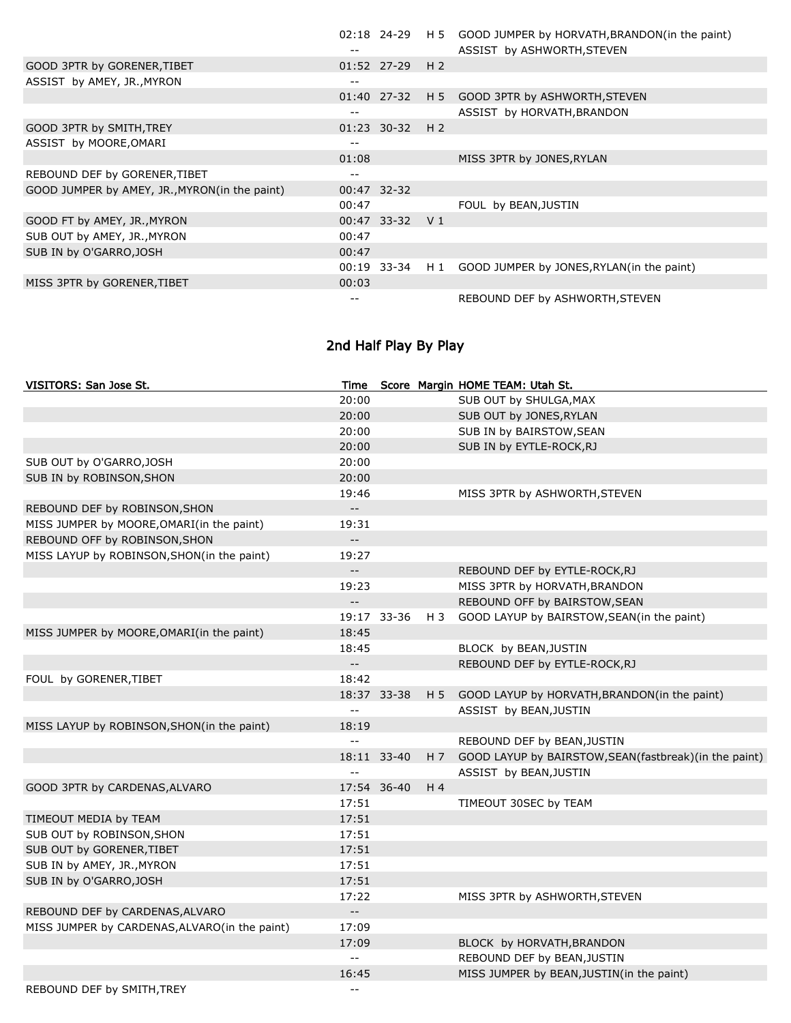|                                               |       |                   | 02:18 24-29 H 5 GOOD JUMPER by HORVATH, BRANDON (in the paint)<br>ASSIST by ASHWORTH, STEVEN |
|-----------------------------------------------|-------|-------------------|----------------------------------------------------------------------------------------------|
| GOOD 3PTR by GORENER, TIBET                   |       | $01:52$ 27-29 H 2 |                                                                                              |
| ASSIST by AMEY, JR., MYRON                    | --    |                   |                                                                                              |
|                                               |       |                   | 01:40 27-32 H 5 GOOD 3PTR by ASHWORTH, STEVEN                                                |
|                                               | --    |                   | ASSIST by HORVATH, BRANDON                                                                   |
| GOOD 3PTR by SMITH, TREY                      |       | $01:23$ 30-32 H 2 |                                                                                              |
| ASSIST by MOORE, OMARI                        |       |                   |                                                                                              |
|                                               | 01:08 |                   | MISS 3PTR by JONES, RYLAN                                                                    |
| REBOUND DEF by GORENER, TIBET                 |       |                   |                                                                                              |
| GOOD JUMPER by AMEY, JR., MYRON(in the paint) |       | 00:47 32-32       |                                                                                              |
|                                               | 00:47 |                   | FOUL by BEAN, JUSTIN                                                                         |
| GOOD FT by AMEY, JR., MYRON                   |       | 00:47 33-32 V 1   |                                                                                              |
| SUB OUT by AMEY, JR., MYRON                   | 00:47 |                   |                                                                                              |
| SUB IN by O'GARRO, JOSH                       | 00:47 |                   |                                                                                              |
|                                               |       |                   | 00:19 33-34 H 1 GOOD JUMPER by JONES, RYLAN(in the paint)                                    |
| MISS 3PTR by GORENER, TIBET                   | 00:03 |                   |                                                                                              |
|                                               |       |                   | REBOUND DEF by ASHWORTH, STEVEN                                                              |

## 2nd Half Play By Play

| VISITORS: San Jose St.                        | Time                     |             |                | Score Margin HOME TEAM: Utah St.                            |
|-----------------------------------------------|--------------------------|-------------|----------------|-------------------------------------------------------------|
|                                               | 20:00                    |             |                | SUB OUT by SHULGA, MAX                                      |
|                                               | 20:00                    |             |                | SUB OUT by JONES, RYLAN                                     |
|                                               | 20:00                    |             |                | SUB IN by BAIRSTOW, SEAN                                    |
|                                               | 20:00                    |             |                | SUB IN by EYTLE-ROCK, RJ                                    |
| SUB OUT by O'GARRO, JOSH                      | 20:00                    |             |                |                                                             |
| SUB IN by ROBINSON, SHON                      | 20:00                    |             |                |                                                             |
|                                               | 19:46                    |             |                | MISS 3PTR by ASHWORTH, STEVEN                               |
| REBOUND DEF by ROBINSON, SHON                 | $\overline{\phantom{a}}$ |             |                |                                                             |
| MISS JUMPER by MOORE, OMARI(in the paint)     | 19:31                    |             |                |                                                             |
| REBOUND OFF by ROBINSON, SHON                 | $-$                      |             |                |                                                             |
| MISS LAYUP by ROBINSON, SHON(in the paint)    | 19:27                    |             |                |                                                             |
|                                               | $\overline{\phantom{a}}$ |             |                | REBOUND DEF by EYTLE-ROCK, RJ                               |
|                                               | 19:23                    |             |                | MISS 3PTR by HORVATH, BRANDON                               |
|                                               | $\overline{\phantom{a}}$ |             |                | REBOUND OFF by BAIRSTOW, SEAN                               |
|                                               |                          | 19:17 33-36 | H 3            | GOOD LAYUP by BAIRSTOW, SEAN(in the paint)                  |
| MISS JUMPER by MOORE, OMARI(in the paint)     | 18:45                    |             |                |                                                             |
|                                               | 18:45                    |             |                | BLOCK by BEAN, JUSTIN                                       |
|                                               | $\overline{\phantom{a}}$ |             |                | REBOUND DEF by EYTLE-ROCK, RJ                               |
| FOUL by GORENER, TIBET                        | 18:42                    |             |                |                                                             |
|                                               |                          | 18:37 33-38 | H 5            | GOOD LAYUP by HORVATH, BRANDON(in the paint)                |
|                                               | $\overline{a}$           |             |                | ASSIST by BEAN, JUSTIN                                      |
| MISS LAYUP by ROBINSON, SHON(in the paint)    | 18:19                    |             |                |                                                             |
|                                               | $\overline{a}$           |             |                | REBOUND DEF by BEAN, JUSTIN                                 |
|                                               |                          | 18:11 33-40 |                | H 7 GOOD LAYUP by BAIRSTOW, SEAN (fastbreak) (in the paint) |
|                                               | $\overline{a}$           |             |                | ASSIST by BEAN, JUSTIN                                      |
| GOOD 3PTR by CARDENAS, ALVARO                 |                          | 17:54 36-40 | H <sub>4</sub> |                                                             |
|                                               | 17:51                    |             |                | TIMEOUT 30SEC by TEAM                                       |
| TIMEOUT MEDIA by TEAM                         | 17:51                    |             |                |                                                             |
| SUB OUT by ROBINSON, SHON                     | 17:51                    |             |                |                                                             |
| SUB OUT by GORENER, TIBET                     | 17:51                    |             |                |                                                             |
| SUB IN by AMEY, JR., MYRON                    | 17:51                    |             |                |                                                             |
| SUB IN by O'GARRO, JOSH                       | 17:51                    |             |                |                                                             |
|                                               | 17:22                    |             |                | MISS 3PTR by ASHWORTH, STEVEN                               |
| REBOUND DEF by CARDENAS, ALVARO               | $-$                      |             |                |                                                             |
| MISS JUMPER by CARDENAS, ALVARO(in the paint) | 17:09                    |             |                |                                                             |
|                                               | 17:09                    |             |                | BLOCK by HORVATH, BRANDON                                   |
|                                               | $\overline{a}$           |             |                | REBOUND DEF by BEAN, JUSTIN                                 |
|                                               | 16:45                    |             |                | MISS JUMPER by BEAN, JUSTIN(in the paint)                   |
| REBOUND DEF by SMITH, TREY                    | $-1$                     |             |                |                                                             |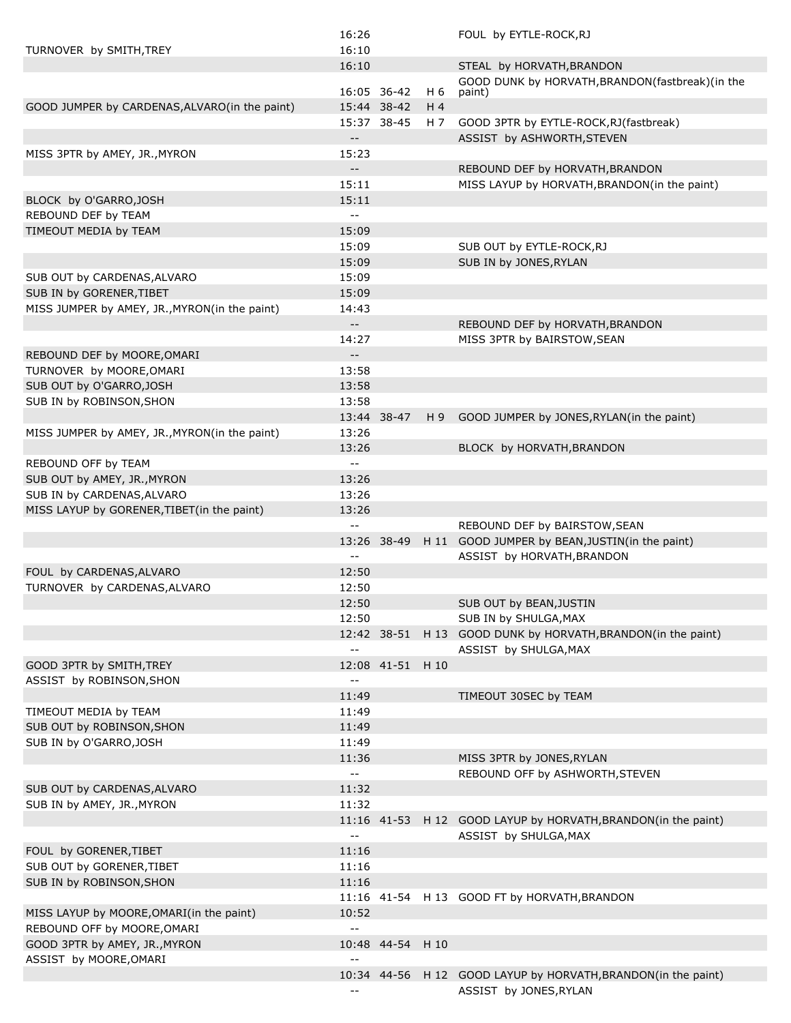|                                               | 16:26                    |                  |                | FOUL by EYTLE-ROCK, RJ                                        |
|-----------------------------------------------|--------------------------|------------------|----------------|---------------------------------------------------------------|
| TURNOVER by SMITH, TREY                       | 16:10                    |                  |                |                                                               |
|                                               | 16:10                    |                  |                | STEAL by HORVATH, BRANDON                                     |
|                                               |                          | 16:05 36-42      | H 6            | GOOD DUNK by HORVATH, BRANDON(fastbreak)(in the<br>paint)     |
| GOOD JUMPER by CARDENAS, ALVARO(in the paint) |                          | 15:44 38-42      | H <sub>4</sub> |                                                               |
|                                               |                          | 15:37 38-45      | H 7            | GOOD 3PTR by EYTLE-ROCK, RJ (fastbreak)                       |
|                                               | $-$                      |                  |                | ASSIST by ASHWORTH, STEVEN                                    |
| MISS 3PTR by AMEY, JR., MYRON                 | 15:23                    |                  |                |                                                               |
|                                               | $- -$                    |                  |                | REBOUND DEF by HORVATH, BRANDON                               |
|                                               | 15:11                    |                  |                | MISS LAYUP by HORVATH, BRANDON(in the paint)                  |
|                                               |                          |                  |                |                                                               |
| BLOCK by O'GARRO, JOSH                        | 15:11                    |                  |                |                                                               |
| REBOUND DEF by TEAM                           | $-$                      |                  |                |                                                               |
| TIMEOUT MEDIA by TEAM                         | 15:09                    |                  |                |                                                               |
|                                               | 15:09                    |                  |                | SUB OUT by EYTLE-ROCK, RJ                                     |
|                                               | 15:09                    |                  |                | SUB IN by JONES, RYLAN                                        |
| SUB OUT by CARDENAS, ALVARO                   | 15:09                    |                  |                |                                                               |
| SUB IN by GORENER, TIBET                      | 15:09                    |                  |                |                                                               |
| MISS JUMPER by AMEY, JR., MYRON(in the paint) | 14:43                    |                  |                |                                                               |
|                                               | $-$                      |                  |                | REBOUND DEF by HORVATH, BRANDON                               |
|                                               | 14:27                    |                  |                | MISS 3PTR by BAIRSTOW, SEAN                                   |
| REBOUND DEF by MOORE, OMARI                   | $\qquad \qquad -$        |                  |                |                                                               |
| TURNOVER by MOORE, OMARI                      | 13:58                    |                  |                |                                                               |
| SUB OUT by O'GARRO, JOSH                      | 13:58                    |                  |                |                                                               |
| SUB IN by ROBINSON, SHON                      | 13:58                    |                  |                |                                                               |
|                                               |                          | 13:44 38-47      | H 9            | GOOD JUMPER by JONES, RYLAN(in the paint)                     |
| MISS JUMPER by AMEY, JR., MYRON(in the paint) | 13:26                    |                  |                |                                                               |
|                                               | 13:26                    |                  |                | BLOCK by HORVATH, BRANDON                                     |
| REBOUND OFF by TEAM                           | $-$                      |                  |                |                                                               |
| SUB OUT by AMEY, JR., MYRON                   | 13:26                    |                  |                |                                                               |
| SUB IN by CARDENAS, ALVARO                    | 13:26                    |                  |                |                                                               |
| MISS LAYUP by GORENER, TIBET (in the paint)   | 13:26                    |                  |                |                                                               |
|                                               | $-$                      |                  |                | REBOUND DEF by BAIRSTOW, SEAN                                 |
|                                               |                          | 13:26 38-49      |                | H 11 GOOD JUMPER by BEAN, JUSTIN(in the paint)                |
|                                               | $-$                      |                  |                | ASSIST by HORVATH, BRANDON                                    |
| FOUL by CARDENAS, ALVARO                      | 12:50                    |                  |                |                                                               |
|                                               |                          |                  |                |                                                               |
| TURNOVER by CARDENAS, ALVARO                  | 12:50                    |                  |                |                                                               |
|                                               | 12:50                    |                  |                | SUB OUT by BEAN, JUSTIN                                       |
|                                               | 12:50                    |                  |                | SUB IN by SHULGA, MAX                                         |
|                                               |                          | 12:42 38-51      |                | H 13 GOOD DUNK by HORVATH, BRANDON(in the paint)              |
|                                               | $\overline{a}$           |                  |                | ASSIST by SHULGA, MAX                                         |
| GOOD 3PTR by SMITH, TREY                      |                          | 12:08 41-51 H 10 |                |                                                               |
| ASSIST by ROBINSON, SHON                      | $\overline{a}$           |                  |                |                                                               |
|                                               | 11:49                    |                  |                | TIMEOUT 30SEC by TEAM                                         |
| TIMEOUT MEDIA by TEAM                         | 11:49                    |                  |                |                                                               |
| SUB OUT by ROBINSON, SHON                     | 11:49                    |                  |                |                                                               |
| SUB IN by O'GARRO, JOSH                       | 11:49                    |                  |                |                                                               |
|                                               | 11:36                    |                  |                | MISS 3PTR by JONES, RYLAN                                     |
|                                               | $\overline{\phantom{a}}$ |                  |                | REBOUND OFF by ASHWORTH, STEVEN                               |
| SUB OUT by CARDENAS, ALVARO                   | 11:32                    |                  |                |                                                               |
| SUB IN by AMEY, JR., MYRON                    | 11:32                    |                  |                |                                                               |
|                                               |                          | 11:16 41-53      |                | H 12 GOOD LAYUP by HORVATH, BRANDON(in the paint)             |
|                                               | $\overline{\phantom{a}}$ |                  |                | ASSIST by SHULGA, MAX                                         |
| FOUL by GORENER, TIBET                        | 11:16                    |                  |                |                                                               |
| SUB OUT by GORENER, TIBET                     | 11:16                    |                  |                |                                                               |
| SUB IN by ROBINSON, SHON                      | 11:16                    |                  |                |                                                               |
|                                               |                          |                  |                | 11:16 41-54 H 13 GOOD FT by HORVATH, BRANDON                  |
| MISS LAYUP by MOORE, OMARI (in the paint)     | 10:52                    |                  |                |                                                               |
| REBOUND OFF by MOORE, OMARI                   | $\overline{\phantom{a}}$ |                  |                |                                                               |
| GOOD 3PTR by AMEY, JR., MYRON                 |                          | 10:48 44-54      | H 10           |                                                               |
| ASSIST by MOORE, OMARI                        | $-1$                     |                  |                |                                                               |
|                                               |                          |                  |                | 10:34 44-56 H 12 GOOD LAYUP by HORVATH, BRANDON(in the paint) |
|                                               | $\overline{\phantom{m}}$ |                  |                | ASSIST by JONES, RYLAN                                        |
|                                               |                          |                  |                |                                                               |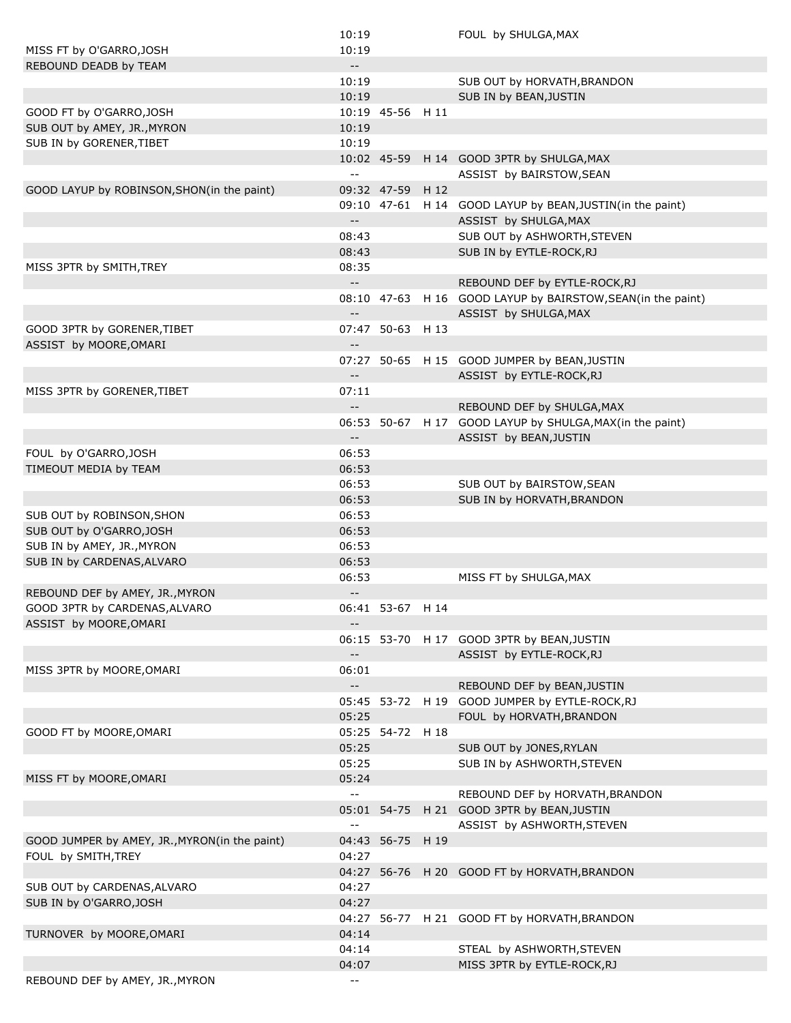|                                               | 10:19                                         |                  | FOUL by SHULGA, MAX                                                                  |
|-----------------------------------------------|-----------------------------------------------|------------------|--------------------------------------------------------------------------------------|
| MISS FT by O'GARRO, JOSH                      | 10:19                                         |                  |                                                                                      |
| REBOUND DEADB by TEAM                         | $\mathbb{H}^{\mathbb{H}}$                     |                  |                                                                                      |
|                                               | 10:19                                         |                  | SUB OUT by HORVATH, BRANDON                                                          |
|                                               | 10:19                                         |                  | SUB IN by BEAN, JUSTIN                                                               |
| GOOD FT by O'GARRO, JOSH                      |                                               | 10:19 45-56 H 11 |                                                                                      |
| SUB OUT by AMEY, JR., MYRON                   | 10:19                                         |                  |                                                                                      |
| SUB IN by GORENER, TIBET                      | 10:19                                         |                  |                                                                                      |
|                                               | $\mathord{\hspace{1pt}\text{--}\hspace{1pt}}$ |                  | 10:02 45-59 H 14 GOOD 3PTR by SHULGA, MAX<br>ASSIST by BAIRSTOW, SEAN                |
| GOOD LAYUP by ROBINSON, SHON(in the paint)    |                                               | 09:32 47-59 H 12 |                                                                                      |
|                                               |                                               |                  | 09:10 47-61 H 14 GOOD LAYUP by BEAN, JUSTIN(in the paint)                            |
|                                               | $\mathord{\hspace{1pt}\text{--}\hspace{1pt}}$ |                  | ASSIST by SHULGA, MAX                                                                |
|                                               | 08:43                                         |                  | SUB OUT by ASHWORTH, STEVEN                                                          |
|                                               | 08:43                                         |                  | SUB IN by EYTLE-ROCK, RJ                                                             |
| MISS 3PTR by SMITH, TREY                      | 08:35                                         |                  |                                                                                      |
|                                               | $\mathord{\hspace{1pt}\text{--}\hspace{1pt}}$ |                  | REBOUND DEF by EYTLE-ROCK, RJ                                                        |
|                                               | $\overline{\phantom{a}}$                      |                  | 08:10 47-63 H 16 GOOD LAYUP by BAIRSTOW, SEAN(in the paint)<br>ASSIST by SHULGA, MAX |
| GOOD 3PTR by GORENER, TIBET                   |                                               | 07:47 50-63 H 13 |                                                                                      |
| ASSIST by MOORE, OMARI                        | $\mathbf{L} = \mathbf{R}$                     |                  |                                                                                      |
|                                               |                                               |                  | 07:27 50-65 H 15 GOOD JUMPER by BEAN, JUSTIN                                         |
|                                               | $\overline{\phantom{a}}$                      |                  | ASSIST by EYTLE-ROCK, RJ                                                             |
| MISS 3PTR by GORENER, TIBET                   | 07:11                                         |                  |                                                                                      |
|                                               | $-$                                           |                  | REBOUND DEF by SHULGA, MAX                                                           |
|                                               |                                               |                  | 06:53 50-67 H 17 GOOD LAYUP by SHULGA, MAX(in the paint)                             |
|                                               | $\overline{\phantom{a}}$ .                    |                  | ASSIST by BEAN, JUSTIN                                                               |
| FOUL by O'GARRO, JOSH                         | 06:53                                         |                  |                                                                                      |
| TIMEOUT MEDIA by TEAM                         | 06:53                                         |                  |                                                                                      |
|                                               | 06:53                                         |                  | SUB OUT by BAIRSTOW, SEAN                                                            |
|                                               | 06:53                                         |                  | SUB IN by HORVATH, BRANDON                                                           |
| SUB OUT by ROBINSON, SHON                     | 06:53                                         |                  |                                                                                      |
| SUB OUT by O'GARRO, JOSH                      | 06:53                                         |                  |                                                                                      |
| SUB IN by AMEY, JR., MYRON                    | 06:53                                         |                  |                                                                                      |
| SUB IN by CARDENAS, ALVARO                    | 06:53                                         |                  |                                                                                      |
|                                               | 06:53                                         |                  | MISS FT by SHULGA, MAX                                                               |
| REBOUND DEF by AMEY, JR., MYRON               | $\overline{\phantom{a}}$ .                    |                  |                                                                                      |
| GOOD 3PTR by CARDENAS, ALVARO                 |                                               | 06:41 53-67 H 14 |                                                                                      |
| ASSIST by MOORE, OMARI                        |                                               |                  |                                                                                      |
|                                               |                                               |                  | 06:15 53-70 H 17 GOOD 3PTR by BEAN, JUSTIN                                           |
|                                               | $- -$                                         |                  | ASSIST by EYTLE-ROCK,RJ                                                              |
| MISS 3PTR by MOORE, OMARI                     | 06:01                                         |                  |                                                                                      |
|                                               | $\overline{\phantom{a}}$ .                    |                  | REBOUND DEF by BEAN, JUSTIN                                                          |
|                                               |                                               |                  | 05:45 53-72 H 19 GOOD JUMPER by EYTLE-ROCK, RJ<br>FOUL by HORVATH, BRANDON           |
| GOOD FT by MOORE, OMARI                       | 05:25                                         | 05:25 54-72 H 18 |                                                                                      |
|                                               | 05:25                                         |                  | SUB OUT by JONES, RYLAN                                                              |
|                                               | 05:25                                         |                  | SUB IN by ASHWORTH, STEVEN                                                           |
| MISS FT by MOORE, OMARI                       | 05:24                                         |                  |                                                                                      |
|                                               | $\mathord{\hspace{1pt}\text{--}\hspace{1pt}}$ |                  | REBOUND DEF by HORVATH, BRANDON                                                      |
|                                               |                                               |                  | 05:01 54-75 H 21 GOOD 3PTR by BEAN, JUSTIN                                           |
|                                               | $\mathord{\hspace{1pt}\text{--}\hspace{1pt}}$ |                  | ASSIST by ASHWORTH, STEVEN                                                           |
| GOOD JUMPER by AMEY, JR., MYRON(in the paint) |                                               | 04:43 56-75 H 19 |                                                                                      |
| FOUL by SMITH, TREY                           | 04:27                                         |                  |                                                                                      |
|                                               |                                               |                  | 04:27 56-76 H 20 GOOD FT by HORVATH, BRANDON                                         |
| SUB OUT by CARDENAS, ALVARO                   | 04:27                                         |                  |                                                                                      |
| SUB IN by O'GARRO, JOSH                       | 04:27                                         |                  |                                                                                      |
|                                               |                                               |                  | 04:27 56-77 H 21 GOOD FT by HORVATH, BRANDON                                         |
| TURNOVER by MOORE, OMARI                      | 04:14                                         |                  |                                                                                      |
|                                               | 04:14                                         |                  | STEAL by ASHWORTH, STEVEN                                                            |
|                                               | 04:07                                         |                  | MISS 3PTR by EYTLE-ROCK, RJ                                                          |
|                                               |                                               |                  |                                                                                      |